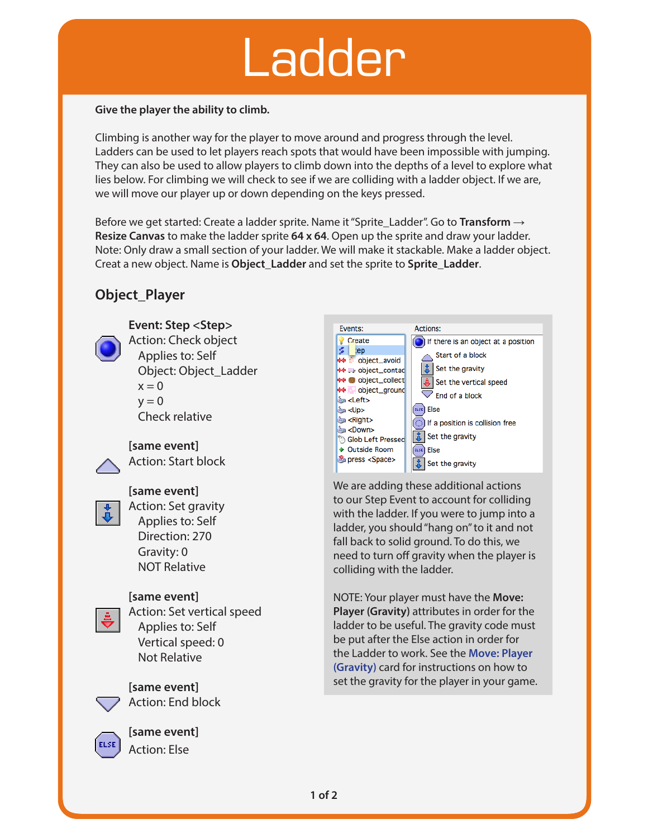## Ladder

#### **Give the player the ability to climb.**

Climbing is another way for the player to move around and progress through the level. Ladders can be used to let players reach spots that would have been impossible with jumping. They can also be used to allow players to climb down into the depths of a level to explore what lies below. For climbing we will check to see if we are colliding with a ladder object. If we are, we will move our player up or down depending on the keys pressed.

Before we get started: Create a ladder sprite. Name it "Sprite\_Ladder". Go to **Transform → Resize Canvas** to make the ladder sprite **64 x 64**. Open up the sprite and draw your ladder. Note: Only draw a small section of your ladder. We will make it stackable. Make a ladder object. Creat a new object. Name is **Object\_Ladder** and set the sprite to **Sprite\_Ladder**.

#### **Object\_Player**